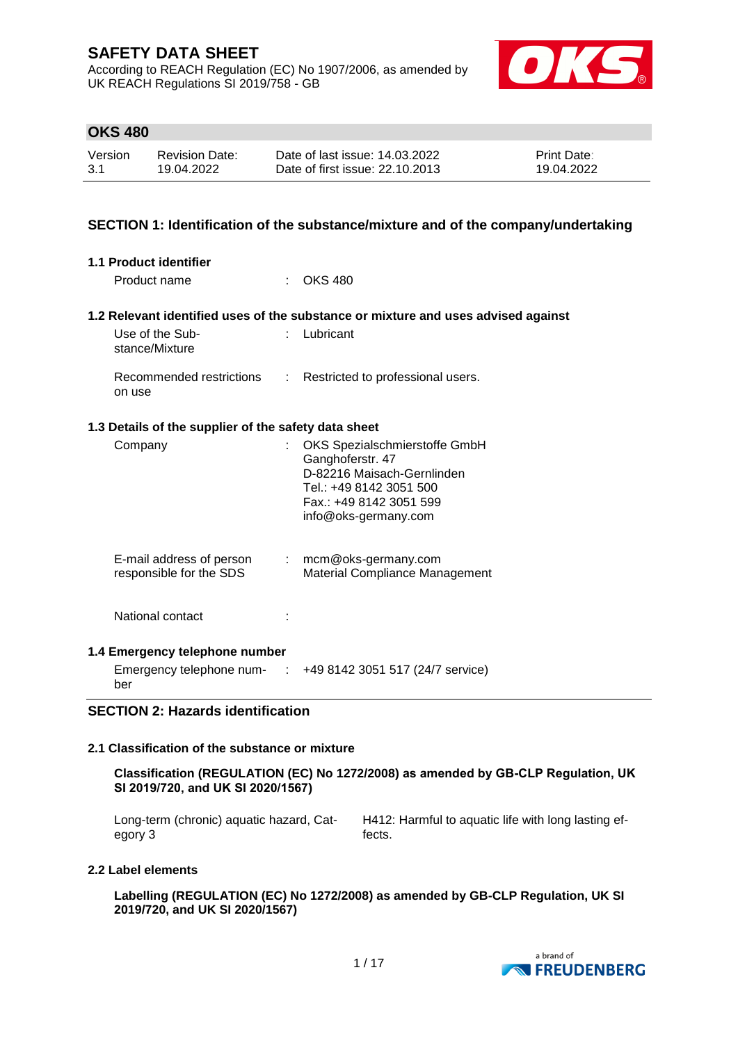According to REACH Regulation (EC) No 1907/2006, as amended by UK REACH Regulations SI 2019/758 - GB



## **OKS 480**

| Version | <b>Revision Date:</b> | Date of last issue: 14.03.2022  | <b>Print Date:</b> |
|---------|-----------------------|---------------------------------|--------------------|
| 3.1     | 19.04.2022            | Date of first issue: 22.10.2013 | 19.04.2022         |

## **SECTION 1: Identification of the substance/mixture and of the company/undertaking**

| 1.1 Product identifier<br>Product name                                    |        | $\therefore$ OKS 480                                                                                                                                          |
|---------------------------------------------------------------------------|--------|---------------------------------------------------------------------------------------------------------------------------------------------------------------|
|                                                                           |        | 1.2 Relevant identified uses of the substance or mixture and uses advised against                                                                             |
| Use of the Sub-<br>stance/Mixture                                         | $\sim$ | Lubricant                                                                                                                                                     |
| Recommended restrictions :<br>on use                                      |        | Restricted to professional users.                                                                                                                             |
| 1.3 Details of the supplier of the safety data sheet                      |        |                                                                                                                                                               |
| Company                                                                   |        | OKS Spezialschmierstoffe GmbH<br>Ganghoferstr. 47<br>D-82216 Maisach-Gernlinden<br>Tel.: +49 8142 3051 500<br>Fax.: +49 8142 3051 599<br>info@oks-germany.com |
| E-mail address of person : mcm@oks-germany.com<br>responsible for the SDS |        | Material Compliance Management                                                                                                                                |
| National contact                                                          |        |                                                                                                                                                               |
| 1.4 Emergency telephone number                                            |        |                                                                                                                                                               |
| ber                                                                       |        | Emergency telephone num- $\therefore$ +49 8142 3051 517 (24/7 service)                                                                                        |

## **SECTION 2: Hazards identification**

#### **2.1 Classification of the substance or mixture**

**Classification (REGULATION (EC) No 1272/2008) as amended by GB-CLP Regulation, UK SI 2019/720, and UK SI 2020/1567)**

Long-term (chronic) aquatic hazard, Category 3 H412: Harmful to aquatic life with long lasting effects.

#### **2.2 Label elements**

**Labelling (REGULATION (EC) No 1272/2008) as amended by GB-CLP Regulation, UK SI 2019/720, and UK SI 2020/1567)**

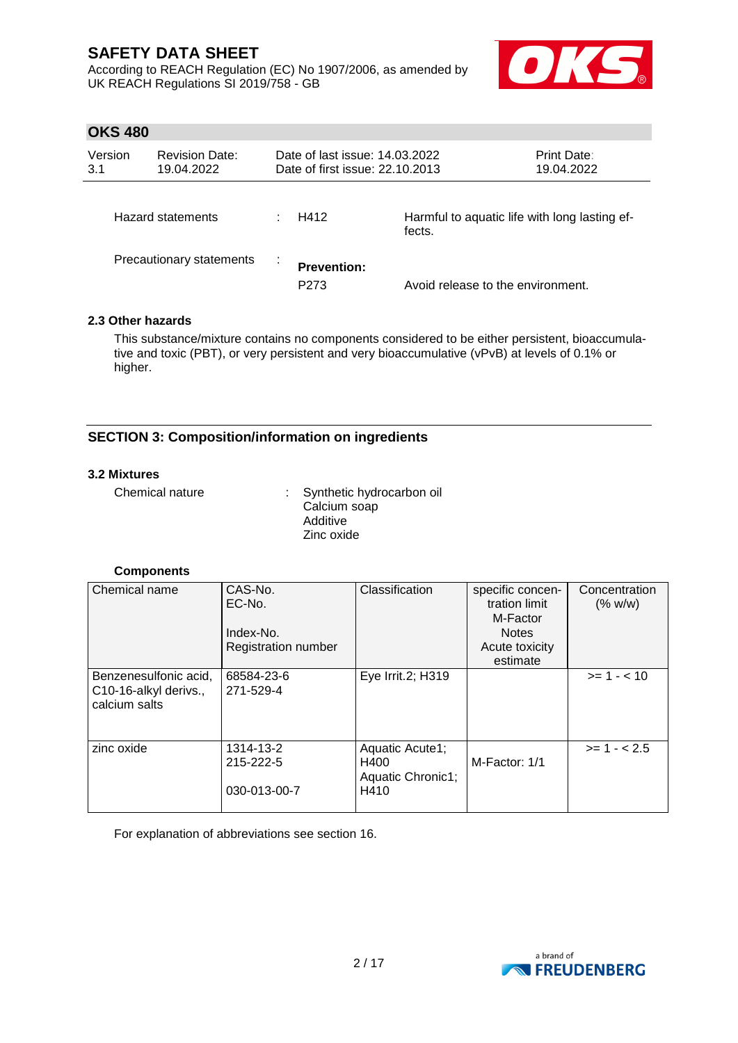According to REACH Regulation (EC) No 1907/2006, as amended by UK REACH Regulations SI 2019/758 - GB



## **OKS 480**

| Version<br>3.1           | <b>Revision Date:</b><br>19.04.2022 | Date of last issue: 14.03.2022<br>Date of first issue: 22.10.2013 |                                                         | Print Date:<br>19.04.2022 |
|--------------------------|-------------------------------------|-------------------------------------------------------------------|---------------------------------------------------------|---------------------------|
|                          | Hazard statements                   | H412                                                              | Harmful to aquatic life with long lasting ef-<br>fects. |                           |
| Precautionary statements |                                     | <b>Prevention:</b><br>P <sub>273</sub>                            | Avoid release to the environment.                       |                           |

## **2.3 Other hazards**

This substance/mixture contains no components considered to be either persistent, bioaccumulative and toxic (PBT), or very persistent and very bioaccumulative (vPvB) at levels of 0.1% or higher.

## **SECTION 3: Composition/information on ingredients**

#### **3.2 Mixtures**

| Chemical nature | : Synthetic hydrocarbon oil<br>Calcium soap |
|-----------------|---------------------------------------------|
|                 | Additive                                    |
|                 | Zinc oxide                                  |

## **Components**

| Chemical name                      | CAS-No.                    | Classification    | specific concen- | Concentration |
|------------------------------------|----------------------------|-------------------|------------------|---------------|
|                                    | EC-No.                     |                   | tration limit    | (% w/w)       |
|                                    |                            |                   | M-Factor         |               |
|                                    | Index-No.                  |                   | <b>Notes</b>     |               |
|                                    | <b>Registration number</b> |                   | Acute toxicity   |               |
|                                    |                            |                   | estimate         |               |
| Benzenesulfonic acid,              | 68584-23-6                 | Eye Irrit.2; H319 |                  | $>= 1 - < 10$ |
| C <sub>10</sub> -16-alkyl derivs., | 271-529-4                  |                   |                  |               |
| calcium salts                      |                            |                   |                  |               |
|                                    |                            |                   |                  |               |
|                                    |                            |                   |                  |               |
| zinc oxide                         | 1314-13-2                  | Aquatic Acute1;   |                  | $>= 1 - 2.5$  |
|                                    | 215-222-5                  | H400              | M-Factor: 1/1    |               |
|                                    |                            | Aquatic Chronic1; |                  |               |
|                                    | 030-013-00-7               | H410              |                  |               |
|                                    |                            |                   |                  |               |

For explanation of abbreviations see section 16.

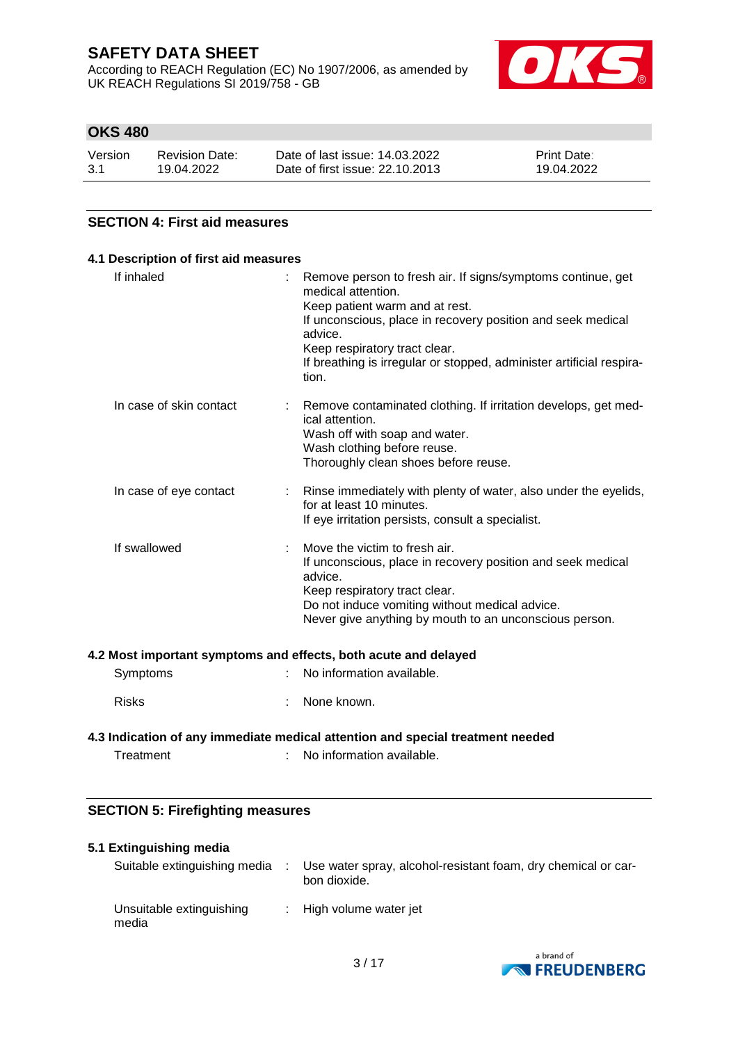According to REACH Regulation (EC) No 1907/2006, as amended by UK REACH Regulations SI 2019/758 - GB



## **OKS 480**

| Version | <b>Revision Date:</b> | Date of last issue: 14.03.2022  | <b>Print Date:</b> |
|---------|-----------------------|---------------------------------|--------------------|
| -3.1    | 19.04.2022            | Date of first issue: 22.10.2013 | 19.04.2022         |

## **SECTION 4: First aid measures**

## **4.1 Description of first aid measures** If inhaled : Remove person to fresh air. If signs/symptoms continue, get

|                         | medical attention.<br>Keep patient warm and at rest.<br>If unconscious, place in recovery position and seek medical<br>advice.<br>Keep respiratory tract clear.<br>If breathing is irregular or stopped, administer artificial respira-<br>tion.     |
|-------------------------|------------------------------------------------------------------------------------------------------------------------------------------------------------------------------------------------------------------------------------------------------|
| In case of skin contact | : Remove contaminated clothing. If irritation develops, get med-<br>ical attention.<br>Wash off with soap and water.<br>Wash clothing before reuse.<br>Thoroughly clean shoes before reuse.                                                          |
| In case of eye contact  | : Rinse immediately with plenty of water, also under the eyelids,<br>for at least 10 minutes.<br>If eye irritation persists, consult a specialist.                                                                                                   |
| If swallowed            | Move the victim to fresh air.<br>If unconscious, place in recovery position and seek medical<br>advice.<br>Keep respiratory tract clear.<br>Do not induce vomiting without medical advice.<br>Never give anything by mouth to an unconscious person. |

#### **4.2 Most important symptoms and effects, both acute and delayed**

|  | Symptoms | No information available. |
|--|----------|---------------------------|
|--|----------|---------------------------|

Risks : None known.

## **4.3 Indication of any immediate medical attention and special treatment needed**

Treatment : No information available.

## **SECTION 5: Firefighting measures**

## **5.1 Extinguishing media**

| Suitable extinguishing media      | Use water spray, alcohol-resistant foam, dry chemical or car-<br>bon dioxide. |
|-----------------------------------|-------------------------------------------------------------------------------|
| Unsuitable extinguishing<br>media | : High volume water jet                                                       |

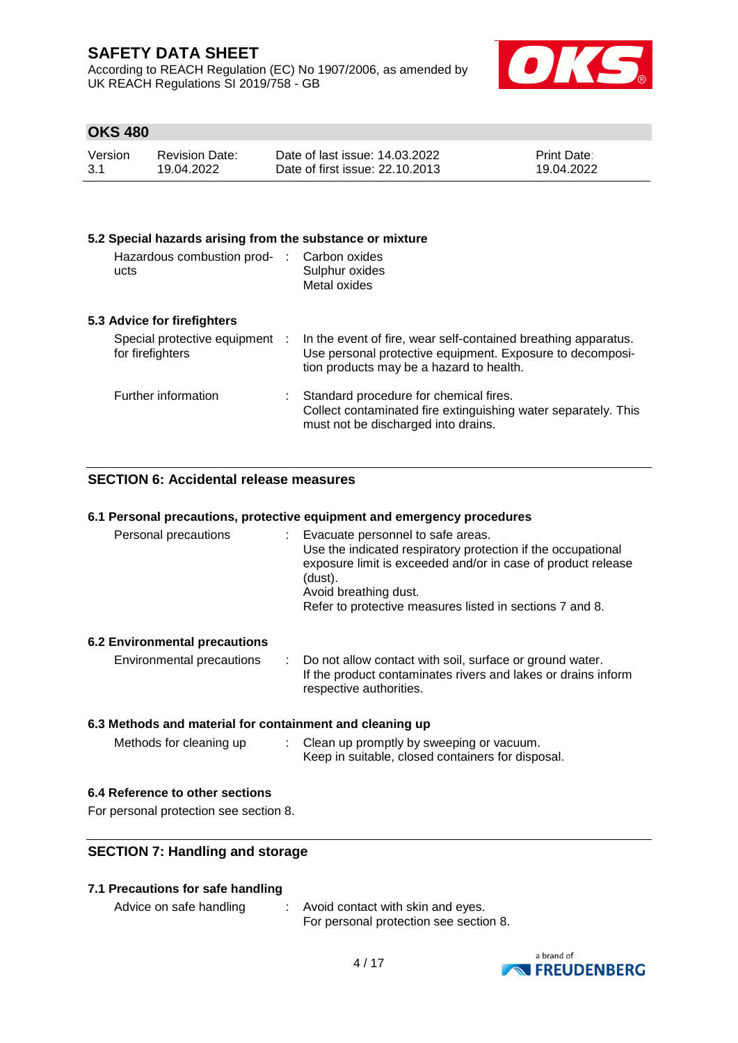According to REACH Regulation (EC) No 1907/2006, as amended by UK REACH Regulations SI 2019/758 - GB



## **OKS 480**

| Version | <b>Revision Date:</b> | Date of last issue: 14.03.2022  | <b>Print Date:</b> |
|---------|-----------------------|---------------------------------|--------------------|
| 3.1     | 19.04.2022            | Date of first issue: 22.10.2013 | 19.04.2022         |

#### **5.2 Special hazards arising from the substance or mixture**

| Hazardous combustion prod-<br>ucts                 | Carbon oxides<br>Sulphur oxides<br>Metal oxides                                                                                                                         |
|----------------------------------------------------|-------------------------------------------------------------------------------------------------------------------------------------------------------------------------|
| 5.3 Advice for firefighters                        |                                                                                                                                                                         |
| Special protective equipment :<br>for firefighters | In the event of fire, wear self-contained breathing apparatus.<br>Use personal protective equipment. Exposure to decomposi-<br>tion products may be a hazard to health. |
| Further information                                | Standard procedure for chemical fires.<br>Collect contaminated fire extinguishing water separately. This<br>must not be discharged into drains.                         |

## **SECTION 6: Accidental release measures**

#### **6.1 Personal precautions, protective equipment and emergency procedures**

| Personal precautions | : Evacuate personnel to safe areas.                                                                                                                              |
|----------------------|------------------------------------------------------------------------------------------------------------------------------------------------------------------|
|                      | Use the indicated respiratory protection if the occupational<br>exposure limit is exceeded and/or in case of product release<br>(dust).<br>Avoid breathing dust. |
|                      | Refer to protective measures listed in sections 7 and 8.                                                                                                         |

## **6.2 Environmental precautions**

| Environmental precautions | Do not allow contact with soil, surface or ground water.      |
|---------------------------|---------------------------------------------------------------|
|                           | If the product contaminates rivers and lakes or drains inform |
|                           | respective authorities.                                       |

## **6.3 Methods and material for containment and cleaning up**

Methods for cleaning up : Clean up promptly by sweeping or vacuum. Keep in suitable, closed containers for disposal.

## **6.4 Reference to other sections**

For personal protection see section 8.

## **SECTION 7: Handling and storage**

## **7.1 Precautions for safe handling**

Advice on safe handling : Avoid contact with skin and eyes. For personal protection see section 8.

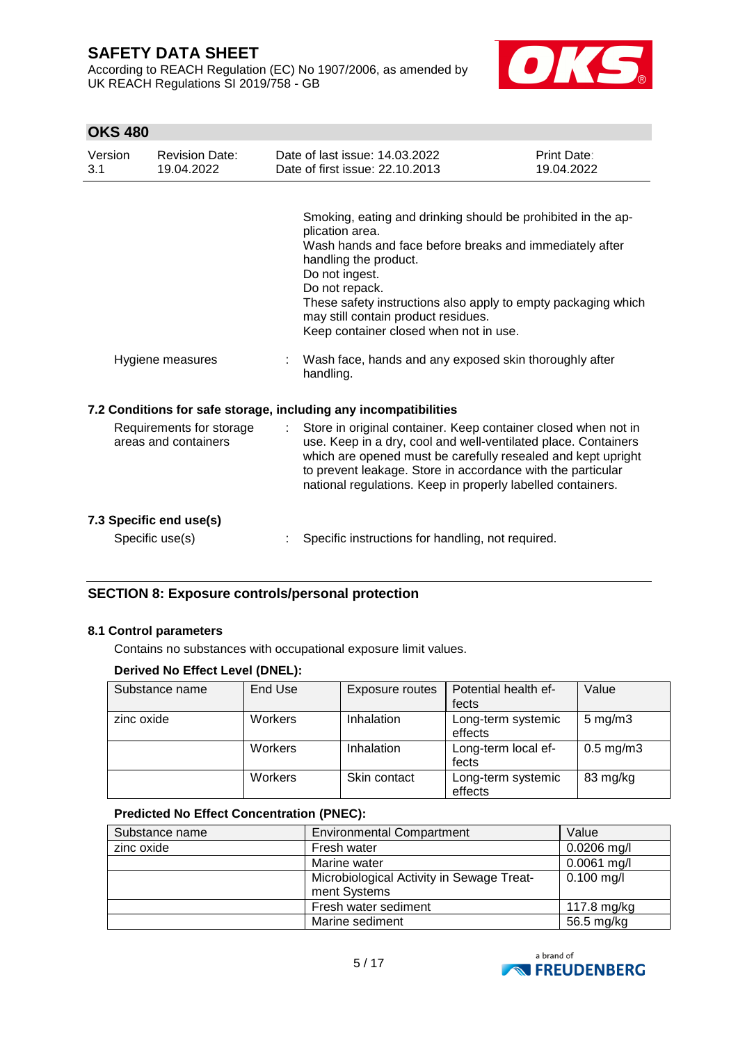According to REACH Regulation (EC) No 1907/2006, as amended by UK REACH Regulations SI 2019/758 - GB



## **OKS 480**

| Version<br>3.1 | <b>Revision Date:</b><br>19.04.2022              | Date of last issue: 14.03.2022<br>Date of first issue: 22.10.2013                                                                                                                                                                                                                                                                                         | Print Date:<br>19.04.2022 |
|----------------|--------------------------------------------------|-----------------------------------------------------------------------------------------------------------------------------------------------------------------------------------------------------------------------------------------------------------------------------------------------------------------------------------------------------------|---------------------------|
|                |                                                  | Smoking, eating and drinking should be prohibited in the ap-<br>plication area.<br>Wash hands and face before breaks and immediately after<br>handling the product.<br>Do not ingest.<br>Do not repack.<br>These safety instructions also apply to empty packaging which<br>may still contain product residues.<br>Keep container closed when not in use. |                           |
|                | Hygiene measures                                 | Wash face, hands and any exposed skin thoroughly after<br>handling.                                                                                                                                                                                                                                                                                       |                           |
|                |                                                  | 7.2 Conditions for safe storage, including any incompatibilities                                                                                                                                                                                                                                                                                          |                           |
|                | Requirements for storage<br>areas and containers | Store in original container. Keep container closed when not in<br>use. Keep in a dry, cool and well-ventilated place. Containers<br>which are opened must be carefully resealed and kept upright<br>to prevent leakage. Store in accordance with the particular<br>national regulations. Keep in properly labelled containers.                            |                           |
|                | 7.3 Specific end use(s)                          |                                                                                                                                                                                                                                                                                                                                                           |                           |
|                | Specific use(s)                                  | Specific instructions for handling, not required.                                                                                                                                                                                                                                                                                                         |                           |

## **SECTION 8: Exposure controls/personal protection**

## **8.1 Control parameters**

Contains no substances with occupational exposure limit values.

## **Derived No Effect Level (DNEL):**

| Substance name | End Use        | Exposure routes | Potential health ef-          | Value              |
|----------------|----------------|-----------------|-------------------------------|--------------------|
|                |                |                 | fects                         |                    |
| zinc oxide     | <b>Workers</b> | Inhalation      | Long-term systemic<br>effects | $5 \text{ mg/m}$ 3 |
|                | <b>Workers</b> | Inhalation      | Long-term local ef-<br>fects  | $0.5$ mg/m $3$     |
|                | Workers        | Skin contact    | Long-term systemic<br>effects | 83 mg/kg           |

## **Predicted No Effect Concentration (PNEC):**

| Substance name | <b>Environmental Compartment</b>          | Value         |
|----------------|-------------------------------------------|---------------|
| zinc oxide     | Fresh water                               | $0.0206$ mg/l |
|                | Marine water                              | $0.0061$ mg/l |
|                | Microbiological Activity in Sewage Treat- | $0.100$ mg/l  |
|                | ment Systems                              |               |
|                | Fresh water sediment                      | 117.8 mg/kg   |
|                | Marine sediment                           | 56.5 mg/kg    |

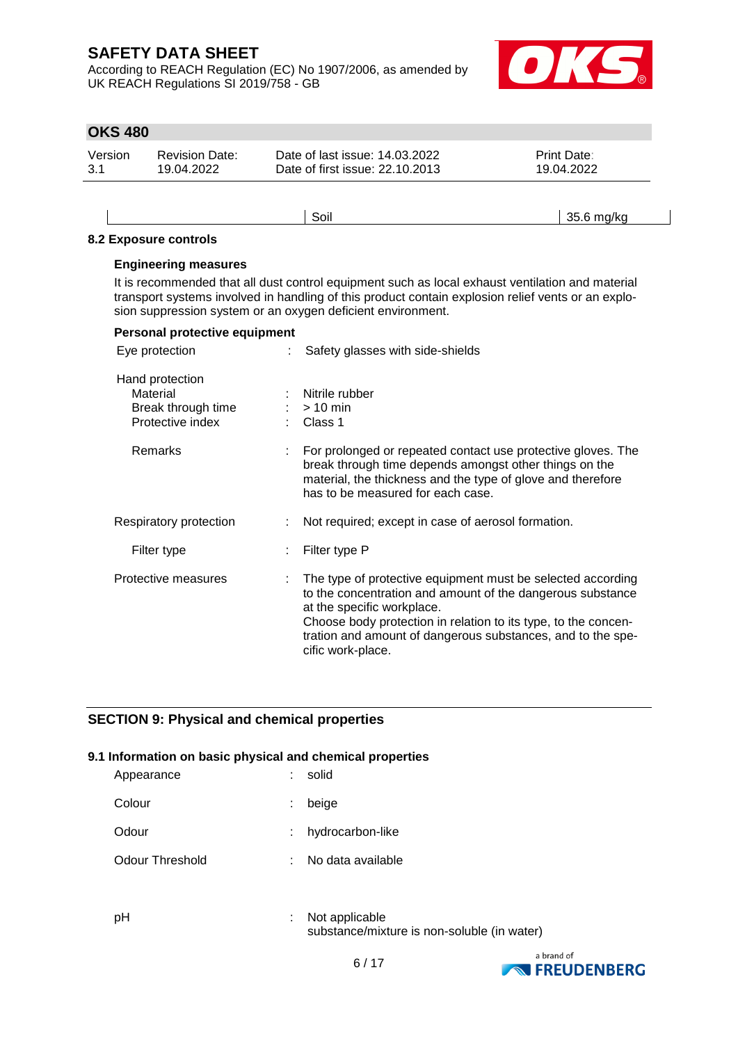According to REACH Regulation (EC) No 1907/2006, as amended by UK REACH Regulations SI 2019/758 - GB



## **OKS 480**

| Version | <b>Revision Date:</b> | Date of last issue: 14.03.2022  | <b>Print Date:</b> |
|---------|-----------------------|---------------------------------|--------------------|
| 3.1     | 19.04.2022            | Date of first issue: 22.10.2013 | 19.04.2022         |

## Soil 35.6 mg/kg **8.2 Exposure controls Engineering measures**

It is recommended that all dust control equipment such as local exhaust ventilation and material transport systems involved in handling of this product contain explosion relief vents or an explosion suppression system or an oxygen deficient environment.

| Personal protective equipment                                         |                                                                                                                                                                                                                                                                                                               |
|-----------------------------------------------------------------------|---------------------------------------------------------------------------------------------------------------------------------------------------------------------------------------------------------------------------------------------------------------------------------------------------------------|
| Eye protection                                                        | Safety glasses with side-shields                                                                                                                                                                                                                                                                              |
| Hand protection<br>Material<br>Break through time<br>Protective index | : Nitrile rubber<br>$:$ > 10 min<br>$\therefore$ Class 1                                                                                                                                                                                                                                                      |
| Remarks                                                               | For prolonged or repeated contact use protective gloves. The<br>break through time depends amongst other things on the<br>material, the thickness and the type of glove and therefore<br>has to be measured for each case.                                                                                    |
| Respiratory protection                                                | Not required; except in case of aerosol formation.                                                                                                                                                                                                                                                            |
| Filter type                                                           | Filter type P                                                                                                                                                                                                                                                                                                 |
| Protective measures                                                   | The type of protective equipment must be selected according<br>to the concentration and amount of the dangerous substance<br>at the specific workplace.<br>Choose body protection in relation to its type, to the concen-<br>tration and amount of dangerous substances, and to the spe-<br>cific work-place. |

## **SECTION 9: Physical and chemical properties**

#### **9.1 Information on basic physical and chemical properties**

| Appearance      |    | solid              |
|-----------------|----|--------------------|
| Colour          | ÷. | beige              |
| Odour           |    | : hydrocarbon-like |
| Odour Threshold |    | No data available  |
|                 |    |                    |

pH : Not applicable substance/mixture is non-soluble (in water)

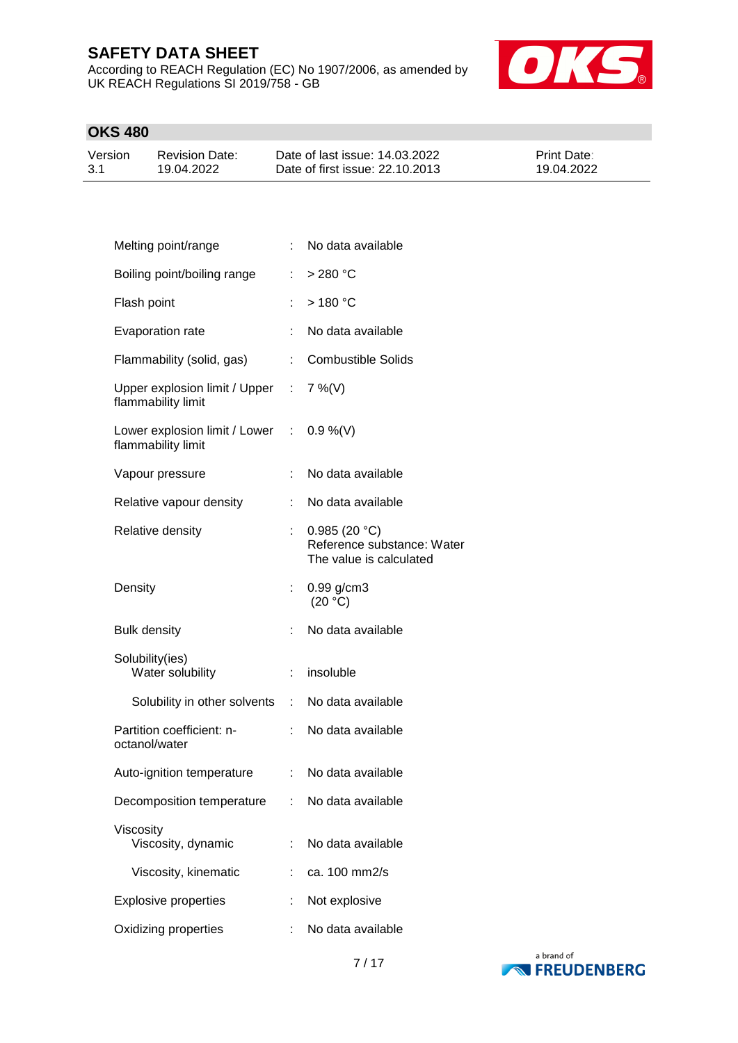According to REACH Regulation (EC) No 1907/2006, as amended by UK REACH Regulations SI 2019/758 - GB



## **OKS 480**

| Version | <b>Revision Date:</b> | Date of last issue: 14.03.2022  | <b>Print Date:</b> |
|---------|-----------------------|---------------------------------|--------------------|
| 3.1     | 19.04.2022            | Date of first issue: 22.10.2013 | 19.04.2022         |

| Melting point/range                                            |                           | No data available                                                     |
|----------------------------------------------------------------|---------------------------|-----------------------------------------------------------------------|
| Boiling point/boiling range                                    | t.                        | $>280$ °C                                                             |
| Flash point                                                    |                           | >180 °C                                                               |
| Evaporation rate                                               |                           | No data available                                                     |
| Flammability (solid, gas)                                      |                           | : Combustible Solids                                                  |
| Upper explosion limit / Upper : 7 %(V)<br>flammability limit   |                           |                                                                       |
| Lower explosion limit / Lower : 0.9 %(V)<br>flammability limit |                           |                                                                       |
| Vapour pressure                                                | ÷                         | No data available                                                     |
| Relative vapour density                                        |                           | No data available                                                     |
| Relative density                                               |                           | 0.985(20 °C)<br>Reference substance: Water<br>The value is calculated |
| Density                                                        | t.                        | $0.99$ g/cm3<br>(20 °C)                                               |
| <b>Bulk density</b>                                            | ÷                         | No data available                                                     |
| Solubility(ies)<br>Water solubility                            | $\mathbb{R}^{\mathbb{Z}}$ | insoluble                                                             |
| Solubility in other solvents : No data available               |                           |                                                                       |
| Partition coefficient: n-<br>octanol/water                     | $\mathbb{R}^{\mathbb{Z}}$ | No data available                                                     |
| Auto-ignition temperature                                      |                           | : No data available                                                   |
| Decomposition temperature                                      | t.                        | No data available                                                     |
| Viscosity<br>Viscosity, dynamic                                | ÷                         | No data available                                                     |
| Viscosity, kinematic                                           |                           | ca. 100 mm2/s                                                         |
| <b>Explosive properties</b>                                    |                           | Not explosive                                                         |
| Oxidizing properties                                           |                           | No data available                                                     |

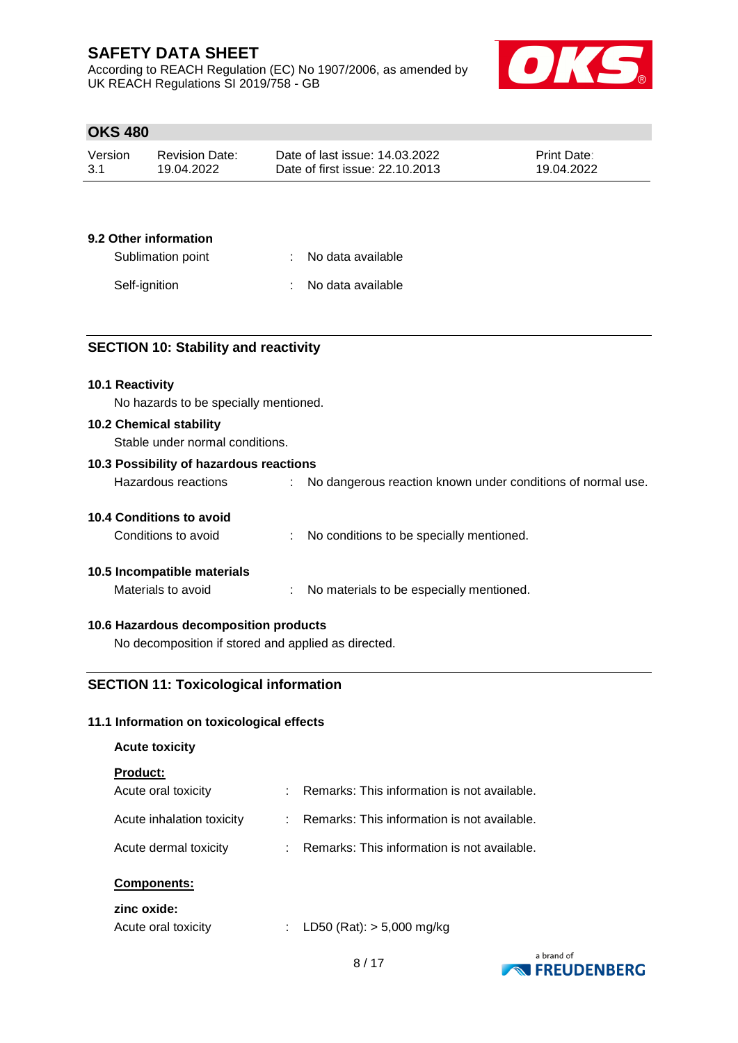According to REACH Regulation (EC) No 1907/2006, as amended by UK REACH Regulations SI 2019/758 - GB



## **OKS 480**

| Version | Revision Date: | Date of last issue: 14.03.2022  | <b>Print Date:</b> |
|---------|----------------|---------------------------------|--------------------|
| -3.1    | 19.04.2022     | Date of first issue: 22.10.2013 | 19.04.2022         |

## **9.2 Other information**

| Sublimation point | : No data available |
|-------------------|---------------------|
| Self-ignition     | : No data available |

## **SECTION 10: Stability and reactivity**

#### **10.1 Reactivity**

No hazards to be specially mentioned.

#### **10.2 Chemical stability**

Stable under normal conditions.

## **10.3 Possibility of hazardous reactions**

| Hazardous reactions | No dangerous reaction known under conditions of normal use. |
|---------------------|-------------------------------------------------------------|
|                     |                                                             |

## **10.4 Conditions to avoid**

| Conditions to avoid |  | No conditions to be specially mentioned. |
|---------------------|--|------------------------------------------|
|---------------------|--|------------------------------------------|

## **10.5 Incompatible materials**

Materials to avoid : No materials to be especially mentioned.

## **10.6 Hazardous decomposition products**

No decomposition if stored and applied as directed.

## **SECTION 11: Toxicological information**

## **11.1 Information on toxicological effects**

#### **Acute toxicity**

#### **Product:**

| Acute oral toxicity       | : Remarks: This information is not available. |
|---------------------------|-----------------------------------------------|
| Acute inhalation toxicity | : Remarks: This information is not available. |
| Acute dermal toxicity     | : Remarks: This information is not available. |

## **Components:**

## **zinc oxide:**

| Acute oral toxicity | LD50 (Rat): $> 5,000$ mg/kg |
|---------------------|-----------------------------|
|                     |                             |

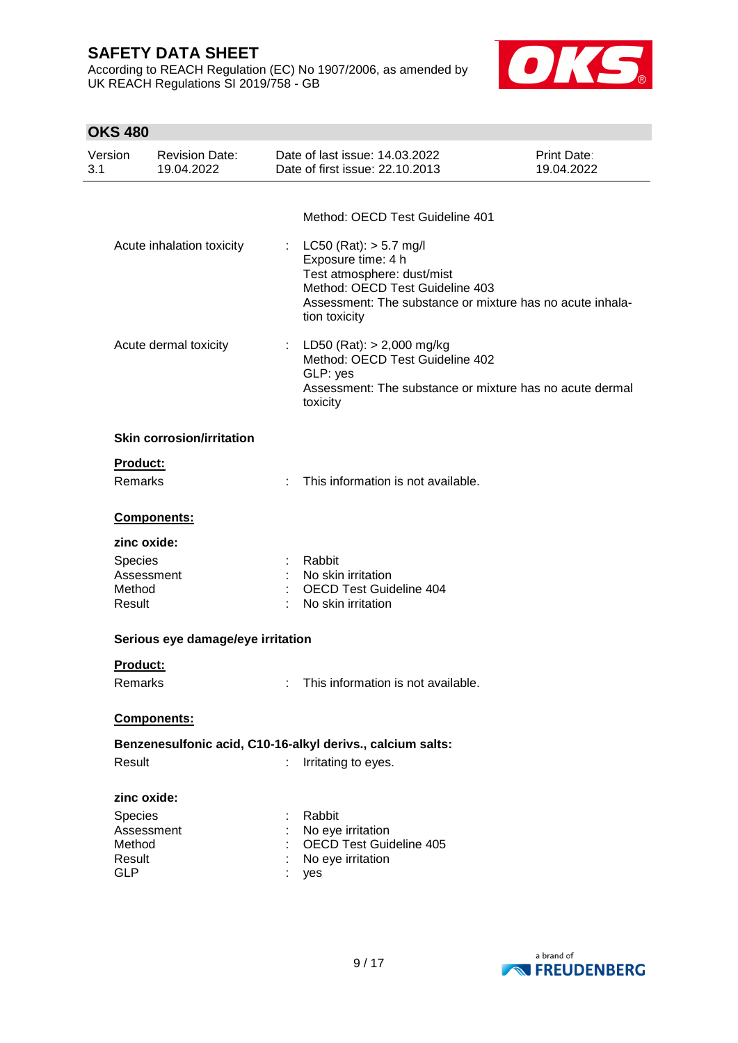According to REACH Regulation (EC) No 1907/2006, as amended by UK REACH Regulations SI 2019/758 - GB



## **OKS 480** Version 3.1 Revision Date: 19.04.2022 Date of last issue: 14.03.2022 Date of first issue: 22.10.2013 Print Date: 19.04.2022 Method: OECD Test Guideline 401 Acute inhalation toxicity : LC50 (Rat): > 5.7 mg/l Exposure time: 4 h Test atmosphere: dust/mist Method: OECD Test Guideline 403 Assessment: The substance or mixture has no acute inhalation toxicity Acute dermal toxicity : LD50 (Rat): > 2,000 mg/kg Method: OECD Test Guideline 402 GLP: yes Assessment: The substance or mixture has no acute dermal toxicity **Skin corrosion/irritation Product:** Remarks : This information is not available. **Components: zinc oxide:** Species : Rabbit<br>
Assessment : No skir Assessment : No skin irritation<br>
Method : OECD Test Guid : OECD Test Guideline 404 Result : No skin irritation **Serious eye damage/eye irritation Product:** Remarks : This information is not available. **Components: Benzenesulfonic acid, C10-16-alkyl derivs., calcium salts:** Result : Irritating to eyes. **zinc oxide:** Species : Rabbit Assessment : No eye irritation Method : OECD Test Guideline 405 Result : No eye irritation GLP : yes

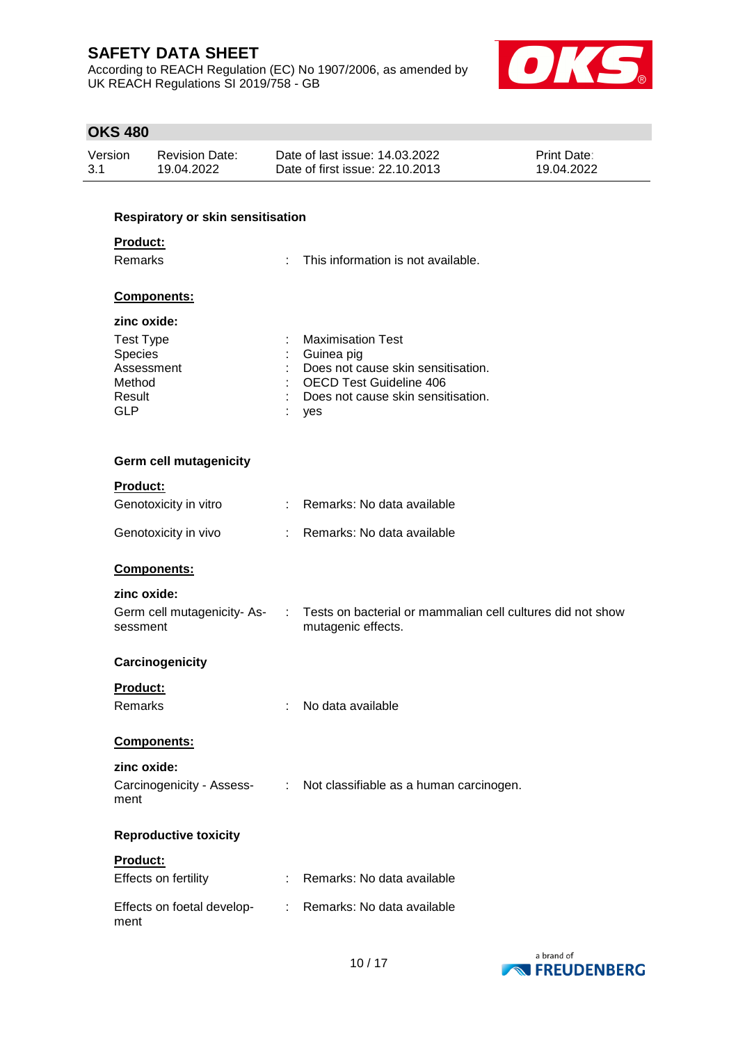According to REACH Regulation (EC) No 1907/2006, as amended by UK REACH Regulations SI 2019/758 - GB



## **OKS 480**

| Version | <b>Revision Date:</b> | Date of last issue: 14.03.2022  | <b>Print Date:</b> |
|---------|-----------------------|---------------------------------|--------------------|
| 3.1     | 19.04.2022            | Date of first issue: 22.10.2013 | 19.04.2022         |

## **Respiratory or skin sensitisation**

## **Product:**

| <b>Remarks</b>     | : This information is not available. |
|--------------------|--------------------------------------|
| <b>Components:</b> |                                      |
| zinc oxide:        |                                      |
| Test Type          | <b>Maximisation Test</b>             |
| Species            | Guinea pig                           |
| Assessment         | Does not cause skin sensitisation.   |
| Method             | <b>OECD Test Guideline 406</b>       |
| Result             | Does not cause skin sensitisation.   |
| GLP                | ves                                  |

## **Germ cell mutagenicity**

## **Product:**

| Genotoxicity in vitro | : Remarks: No data available |  |
|-----------------------|------------------------------|--|
| Genotoxicity in vivo  | : Remarks: No data available |  |

## **Components:**

# **zinc oxide:**

| Germ cell mutagenicity- As- | Tests on bacterial or mammalian cell cultures did not show |
|-----------------------------|------------------------------------------------------------|
| sessment                    | mutagenic effects.                                         |

## **Carcinogenicity**

| Product: |
|----------|
|          |

| Remarks | No data available |
|---------|-------------------|
|         |                   |

## **Components:**

| zinc oxide:                       |                                                      |
|-----------------------------------|------------------------------------------------------|
| Carcinogenicity - Assess-<br>ment | $\therefore$ Not classifiable as a human carcinogen. |

## **Reproductive toxicity**

| <b>Product:</b>                    |                              |
|------------------------------------|------------------------------|
| Effects on fertility               | : Remarks: No data available |
| Effects on foetal develop-<br>ment | : Remarks: No data available |

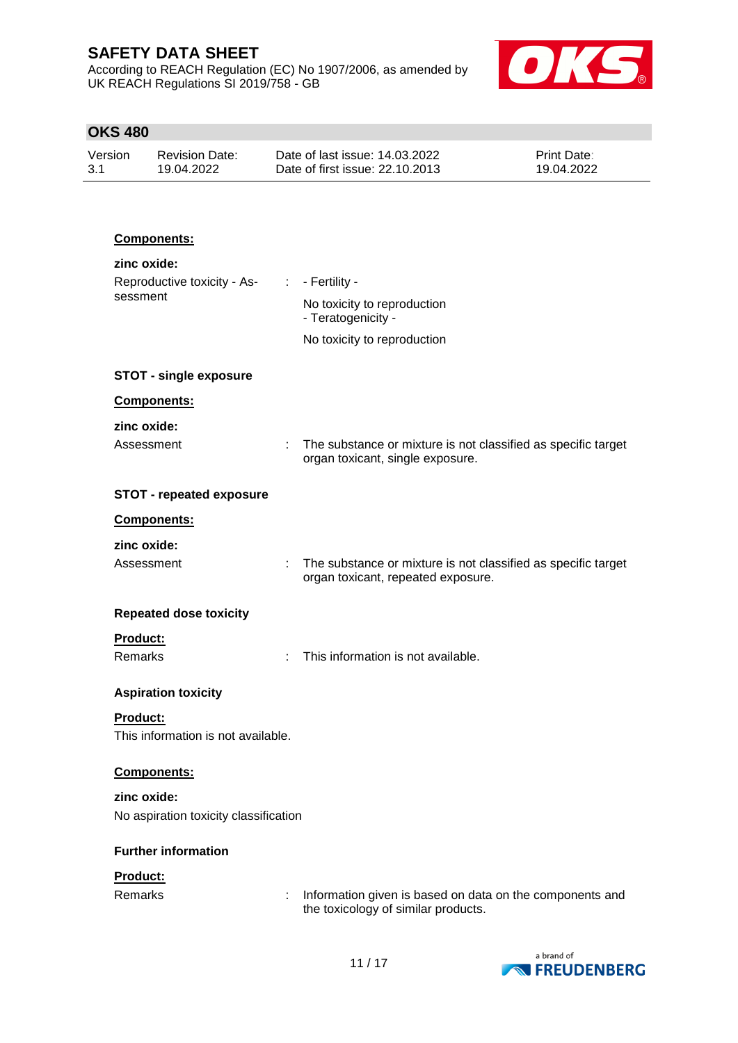According to REACH Regulation (EC) No 1907/2006, as amended by UK REACH Regulations SI 2019/758 - GB



## **OKS 480**

| Version | Revision Date: | Date of last issue: 14.03.2022  | <b>Print Date:</b> |
|---------|----------------|---------------------------------|--------------------|
| 3.1     | 19.04.2022     | Date of first issue: 22.10.2013 | 19.04.2022         |

#### **Components:**

| zinc oxide:<br>Reproductive toxicity - As-<br>sessment | - Fertility -<br>÷.<br>No toxicity to reproduction<br>- Teratogenicity -<br>No toxicity to reproduction  |
|--------------------------------------------------------|----------------------------------------------------------------------------------------------------------|
| <b>STOT - single exposure</b>                          |                                                                                                          |
| Components:                                            |                                                                                                          |
| zinc oxide:                                            |                                                                                                          |
| Assessment<br>÷                                        | The substance or mixture is not classified as specific target<br>organ toxicant, single exposure.        |
| <b>STOT - repeated exposure</b>                        |                                                                                                          |
| Components:                                            |                                                                                                          |
| zinc oxide:                                            |                                                                                                          |
| Assessment                                             | The substance or mixture is not classified as specific target<br>÷<br>organ toxicant, repeated exposure. |
| <b>Repeated dose toxicity</b>                          |                                                                                                          |
| Product:                                               |                                                                                                          |
| Remarks                                                | This information is not available.<br>÷                                                                  |
| <b>Aspiration toxicity</b>                             |                                                                                                          |
| Product:<br>This information is not available.         |                                                                                                          |
| Components:                                            |                                                                                                          |
| zinc oxide:                                            |                                                                                                          |

No aspiration toxicity classification

#### **Further information**

## **Product:**

Remarks : Information given is based on data on the components and the toxicology of similar products.

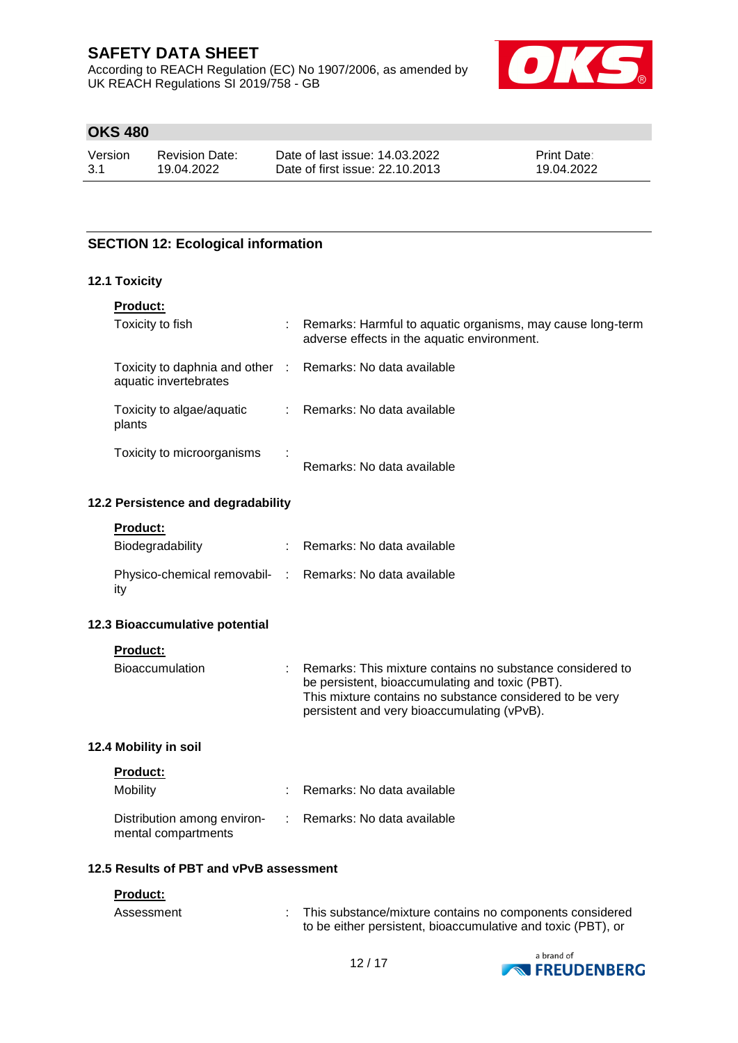According to REACH Regulation (EC) No 1907/2006, as amended by UK REACH Regulations SI 2019/758 - GB



## **OKS 480**

Version 3.1 Revision Date: 19.04.2022

Date of last issue: 14.03.2022 Date of first issue: 22.10.2013 Print Date: 19.04.2022

## **SECTION 12: Ecological information**

## **12.1 Toxicity**

| <b>Product:</b>                                                                     |    |                                                                                                           |
|-------------------------------------------------------------------------------------|----|-----------------------------------------------------------------------------------------------------------|
| Toxicity to fish                                                                    | ÷. | Remarks: Harmful to aquatic organisms, may cause long-term<br>adverse effects in the aquatic environment. |
| Toxicity to daphnia and other : Remarks: No data available<br>aquatic invertebrates |    |                                                                                                           |
| Toxicity to algae/aquatic<br>plants                                                 |    | : Remarks: No data available                                                                              |
| Toxicity to microorganisms                                                          | ÷  | Remarks: No data available                                                                                |

#### **12.2 Persistence and degradability**

#### **Product:**

| Biodegradability                                                | Remarks: No data available |
|-----------------------------------------------------------------|----------------------------|
| Physico-chemical removabil- : Remarks: No data available<br>itv |                            |

#### **12.3 Bioaccumulative potential**

**Product:**

| <b>Bioaccumulation</b> | : Remarks: This mixture contains no substance considered to |
|------------------------|-------------------------------------------------------------|
|                        | be persistent, bioaccumulating and toxic (PBT).             |
|                        | This mixture contains no substance considered to be very    |
|                        | persistent and very bioaccumulating (vPvB).                 |

## **12.4 Mobility in soil**

| <b>Product:</b>                                    |                              |
|----------------------------------------------------|------------------------------|
| Mobility                                           | : Remarks: No data available |
| Distribution among environ-<br>mental compartments | : Remarks: No data available |

#### **12.5 Results of PBT and vPvB assessment**

#### **Product:**

| Assessment | This substance/mixture contains no components considered     |
|------------|--------------------------------------------------------------|
|            | to be either persistent, bioaccumulative and toxic (PBT), or |

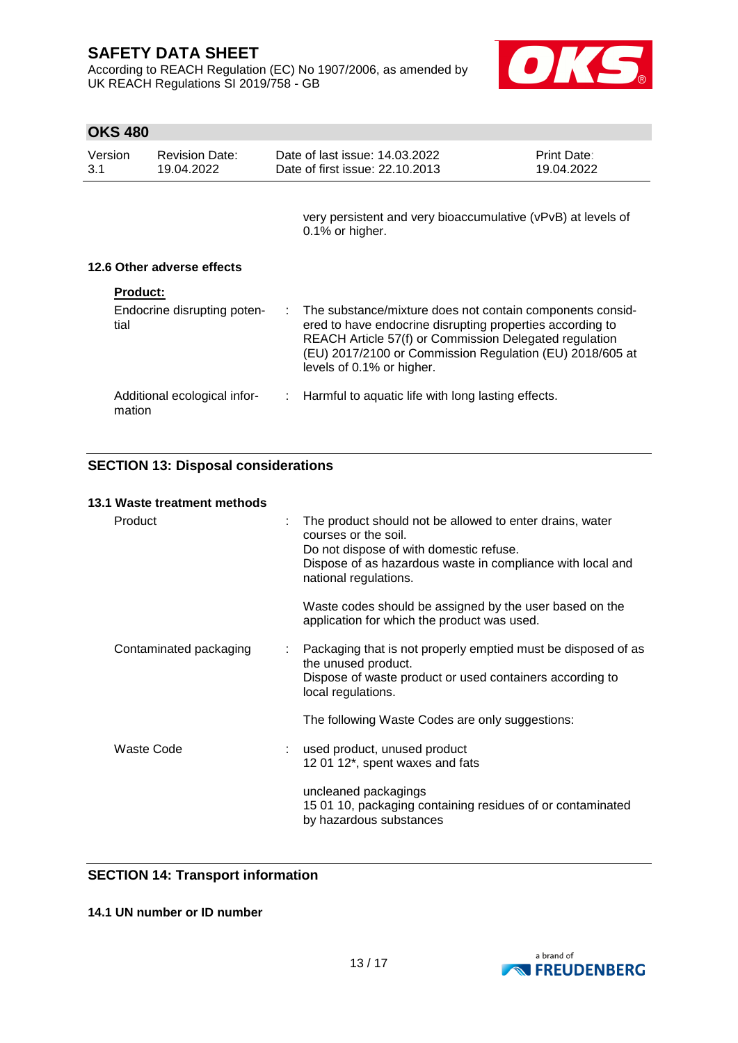**OKS 480**

According to REACH Regulation (EC) No 1907/2006, as amended by UK REACH Regulations SI 2019/758 - GB



| Version<br>3.1  | <b>Revision Date:</b><br>19.04.2022 | Date of last issue: 14.03.2022<br>Date of first issue: 22.10.2013                                                                                                                                                                                                           | Print Date:<br>19.04.2022 |
|-----------------|-------------------------------------|-----------------------------------------------------------------------------------------------------------------------------------------------------------------------------------------------------------------------------------------------------------------------------|---------------------------|
|                 |                                     | very persistent and very bioaccumulative (vPvB) at levels of<br>0.1% or higher.                                                                                                                                                                                             |                           |
|                 | 12.6 Other adverse effects          |                                                                                                                                                                                                                                                                             |                           |
| <b>Product:</b> |                                     |                                                                                                                                                                                                                                                                             |                           |
| tial            | Endocrine disrupting poten-         | : The substance/mixture does not contain components consid-<br>ered to have endocrine disrupting properties according to<br>REACH Article 57(f) or Commission Delegated regulation<br>(EU) 2017/2100 or Commission Regulation (EU) 2018/605 at<br>levels of 0.1% or higher. |                           |
| mation          | Additional ecological infor-        | Harmful to aquatic life with long lasting effects.                                                                                                                                                                                                                          |                           |

## **SECTION 13: Disposal considerations**

## **13.1 Waste treatment methods**

| Product                | The product should not be allowed to enter drains, water<br>courses or the soil.<br>Do not dispose of with domestic refuse.<br>Dispose of as hazardous waste in compliance with local and<br>national regulations. |
|------------------------|--------------------------------------------------------------------------------------------------------------------------------------------------------------------------------------------------------------------|
|                        | Waste codes should be assigned by the user based on the<br>application for which the product was used.                                                                                                             |
| Contaminated packaging | : Packaging that is not properly emptied must be disposed of as<br>the unused product.<br>Dispose of waste product or used containers according to<br>local regulations.                                           |
|                        | The following Waste Codes are only suggestions:                                                                                                                                                                    |
| Waste Code             | : used product, unused product<br>12 01 12*, spent waxes and fats                                                                                                                                                  |
|                        | uncleaned packagings<br>15 01 10, packaging containing residues of or contaminated<br>by hazardous substances                                                                                                      |
|                        |                                                                                                                                                                                                                    |

## **SECTION 14: Transport information**

### **14.1 UN number or ID number**

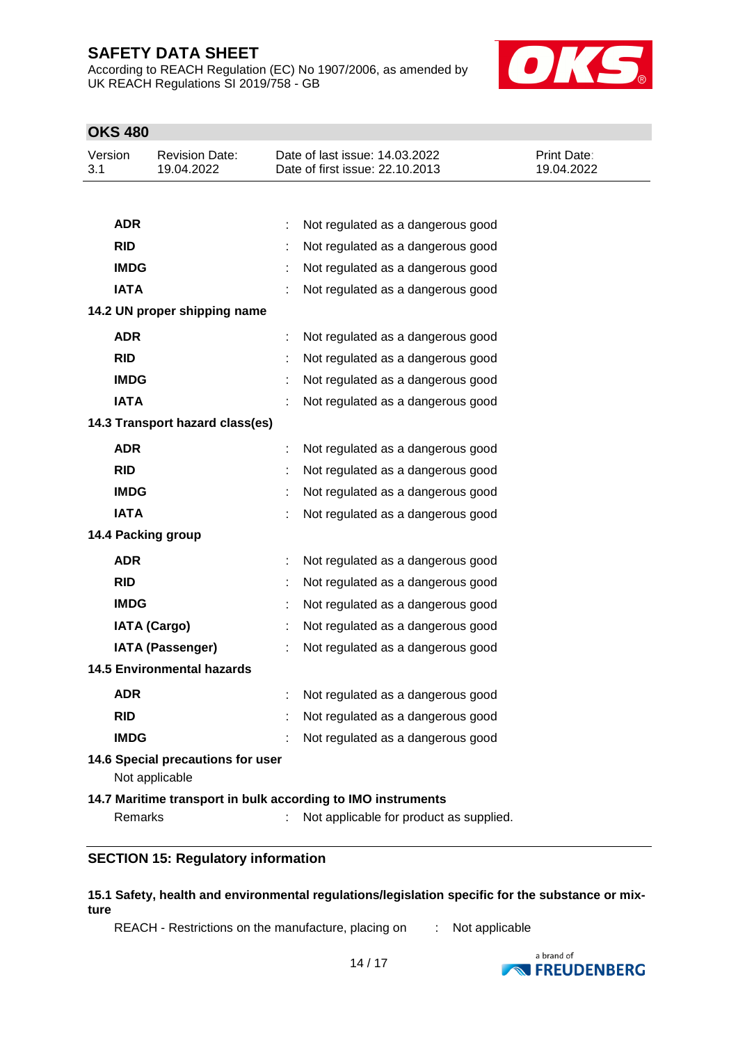According to REACH Regulation (EC) No 1907/2006, as amended by UK REACH Regulations SI 2019/758 - GB



## **OKS 480**

| Version<br>3.1 | <b>Revision Date:</b><br>19.04.2022                 | Date of last issue: 14.03.2022<br>Date of first issue: 22.10.2013 | <b>Print Date:</b><br>19.04.2022 |
|----------------|-----------------------------------------------------|-------------------------------------------------------------------|----------------------------------|
|                |                                                     |                                                                   |                                  |
| <b>ADR</b>     |                                                     | Not regulated as a dangerous good<br>÷                            |                                  |
| <b>RID</b>     |                                                     | Not regulated as a dangerous good                                 |                                  |
| <b>IMDG</b>    |                                                     | Not regulated as a dangerous good                                 |                                  |
| <b>IATA</b>    |                                                     | Not regulated as a dangerous good                                 |                                  |
|                | 14.2 UN proper shipping name                        |                                                                   |                                  |
| <b>ADR</b>     |                                                     | Not regulated as a dangerous good<br>÷                            |                                  |
| <b>RID</b>     |                                                     | Not regulated as a dangerous good                                 |                                  |
| <b>IMDG</b>    |                                                     | Not regulated as a dangerous good                                 |                                  |
| <b>IATA</b>    |                                                     | Not regulated as a dangerous good                                 |                                  |
|                | 14.3 Transport hazard class(es)                     |                                                                   |                                  |
| <b>ADR</b>     |                                                     | Not regulated as a dangerous good                                 |                                  |
| <b>RID</b>     |                                                     | Not regulated as a dangerous good                                 |                                  |
| <b>IMDG</b>    |                                                     | Not regulated as a dangerous good                                 |                                  |
| <b>IATA</b>    |                                                     | Not regulated as a dangerous good                                 |                                  |
|                | 14.4 Packing group                                  |                                                                   |                                  |
| <b>ADR</b>     |                                                     | Not regulated as a dangerous good                                 |                                  |
| <b>RID</b>     |                                                     | Not regulated as a dangerous good                                 |                                  |
| <b>IMDG</b>    |                                                     | Not regulated as a dangerous good                                 |                                  |
|                | <b>IATA (Cargo)</b>                                 | Not regulated as a dangerous good                                 |                                  |
|                | <b>IATA (Passenger)</b>                             | Not regulated as a dangerous good                                 |                                  |
|                | <b>14.5 Environmental hazards</b>                   |                                                                   |                                  |
| <b>ADR</b>     |                                                     | Not regulated as a dangerous good                                 |                                  |
| <b>RID</b>     |                                                     | Not regulated as a dangerous good                                 |                                  |
| <b>IMDG</b>    |                                                     | Not regulated as a dangerous good                                 |                                  |
|                | 14.6 Special precautions for user<br>Not applicable |                                                                   |                                  |
|                |                                                     | 14.7 Maritime transport in bulk according to IMO instruments      |                                  |

Remarks : Not applicable for product as supplied.

## **SECTION 15: Regulatory information**

## **15.1 Safety, health and environmental regulations/legislation specific for the substance or mixture**

REACH - Restrictions on the manufacture, placing on : Not applicable

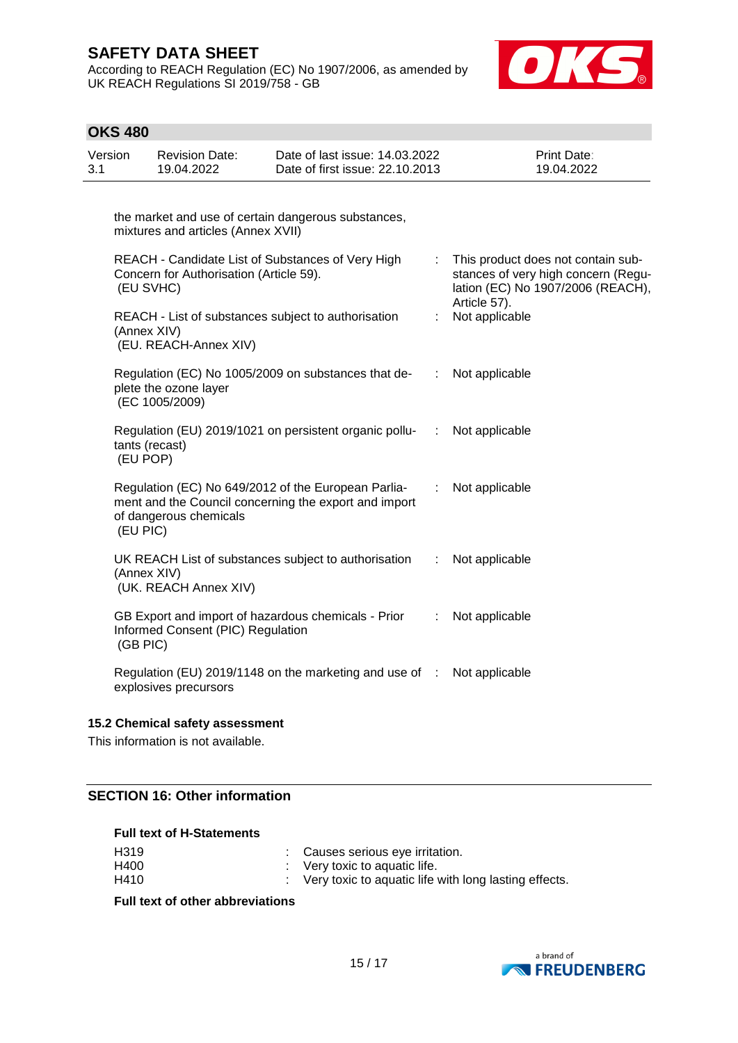According to REACH Regulation (EC) No 1907/2006, as amended by UK REACH Regulations SI 2019/758 - GB



| <b>OKS 480</b> |                                                                                            |                                                                                                              |                           |                                                                                                                                |
|----------------|--------------------------------------------------------------------------------------------|--------------------------------------------------------------------------------------------------------------|---------------------------|--------------------------------------------------------------------------------------------------------------------------------|
| Version<br>3.1 | <b>Revision Date:</b><br>19.04.2022                                                        | Date of last issue: 14.03.2022<br>Date of first issue: 22.10.2013                                            |                           | Print Date:<br>19.04.2022                                                                                                      |
|                |                                                                                            | the market and use of certain dangerous substances,                                                          |                           |                                                                                                                                |
|                | mixtures and articles (Annex XVII)<br>Concern for Authorisation (Article 59).<br>(EU SVHC) | REACH - Candidate List of Substances of Very High                                                            | ÷                         | This product does not contain sub-<br>stances of very high concern (Regu-<br>lation (EC) No 1907/2006 (REACH),<br>Article 57). |
|                | (Annex XIV)<br>(EU. REACH-Annex XIV)                                                       | REACH - List of substances subject to authorisation                                                          | ÷.                        | Not applicable                                                                                                                 |
|                | plete the ozone layer<br>(EC 1005/2009)                                                    | Regulation (EC) No 1005/2009 on substances that de-                                                          | ÷                         | Not applicable                                                                                                                 |
|                | tants (recast)<br>(EU POP)                                                                 | Regulation (EU) 2019/1021 on persistent organic pollu-                                                       | п.                        | Not applicable                                                                                                                 |
| (EU PIC)       | of dangerous chemicals                                                                     | Regulation (EC) No 649/2012 of the European Parlia-<br>ment and the Council concerning the export and import | ÷.                        | Not applicable                                                                                                                 |
|                | (Annex XIV)<br>(UK. REACH Annex XIV)                                                       | UK REACH List of substances subject to authorisation                                                         | $\mathbb{Z}^{\mathbb{Z}}$ | Not applicable                                                                                                                 |
| (GB PIC)       | Informed Consent (PIC) Regulation                                                          | GB Export and import of hazardous chemicals - Prior                                                          | ÷                         | Not applicable                                                                                                                 |
|                | explosives precursors                                                                      | Regulation (EU) 2019/1148 on the marketing and use of :                                                      |                           | Not applicable                                                                                                                 |

#### **15.2 Chemical safety assessment**

This information is not available.

## **SECTION 16: Other information**

## **Full text of H-Statements**

| H319 | : Causes serious eye irritation.                        |
|------|---------------------------------------------------------|
| H400 | $\therefore$ Very toxic to aquatic life.                |
| H410 | : Very toxic to aquatic life with long lasting effects. |

**Full text of other abbreviations**

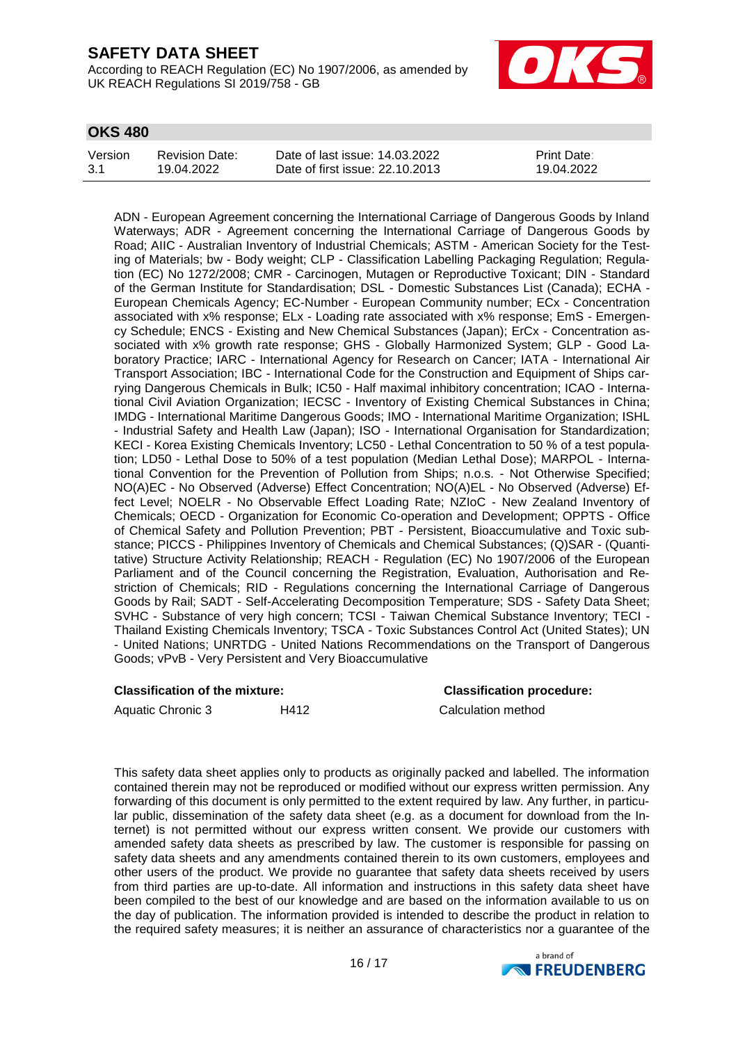According to REACH Regulation (EC) No 1907/2006, as amended by UK REACH Regulations SI 2019/758 - GB



## **OKS 480**

| Version | Revision Date: | Date of last issue: 14.03.2022  | <b>Print Date:</b> |
|---------|----------------|---------------------------------|--------------------|
| 3.1     | 19.04.2022     | Date of first issue: 22.10.2013 | 19.04.2022         |

ADN - European Agreement concerning the International Carriage of Dangerous Goods by Inland Waterways; ADR - Agreement concerning the International Carriage of Dangerous Goods by Road; AIIC - Australian Inventory of Industrial Chemicals; ASTM - American Society for the Testing of Materials; bw - Body weight; CLP - Classification Labelling Packaging Regulation; Regulation (EC) No 1272/2008; CMR - Carcinogen, Mutagen or Reproductive Toxicant; DIN - Standard of the German Institute for Standardisation; DSL - Domestic Substances List (Canada); ECHA - European Chemicals Agency; EC-Number - European Community number; ECx - Concentration associated with x% response; ELx - Loading rate associated with x% response; EmS - Emergency Schedule; ENCS - Existing and New Chemical Substances (Japan); ErCx - Concentration associated with x% growth rate response; GHS - Globally Harmonized System; GLP - Good Laboratory Practice; IARC - International Agency for Research on Cancer; IATA - International Air Transport Association; IBC - International Code for the Construction and Equipment of Ships carrying Dangerous Chemicals in Bulk; IC50 - Half maximal inhibitory concentration; ICAO - International Civil Aviation Organization; IECSC - Inventory of Existing Chemical Substances in China; IMDG - International Maritime Dangerous Goods; IMO - International Maritime Organization; ISHL - Industrial Safety and Health Law (Japan); ISO - International Organisation for Standardization; KECI - Korea Existing Chemicals Inventory; LC50 - Lethal Concentration to 50 % of a test population; LD50 - Lethal Dose to 50% of a test population (Median Lethal Dose); MARPOL - International Convention for the Prevention of Pollution from Ships; n.o.s. - Not Otherwise Specified; NO(A)EC - No Observed (Adverse) Effect Concentration; NO(A)EL - No Observed (Adverse) Effect Level; NOELR - No Observable Effect Loading Rate; NZIoC - New Zealand Inventory of Chemicals; OECD - Organization for Economic Co-operation and Development; OPPTS - Office of Chemical Safety and Pollution Prevention; PBT - Persistent, Bioaccumulative and Toxic substance; PICCS - Philippines Inventory of Chemicals and Chemical Substances; (Q)SAR - (Quantitative) Structure Activity Relationship; REACH - Regulation (EC) No 1907/2006 of the European Parliament and of the Council concerning the Registration, Evaluation, Authorisation and Restriction of Chemicals; RID - Regulations concerning the International Carriage of Dangerous Goods by Rail; SADT - Self-Accelerating Decomposition Temperature; SDS - Safety Data Sheet; SVHC - Substance of very high concern; TCSI - Taiwan Chemical Substance Inventory; TECI - Thailand Existing Chemicals Inventory; TSCA - Toxic Substances Control Act (United States); UN - United Nations; UNRTDG - United Nations Recommendations on the Transport of Dangerous Goods; vPvB - Very Persistent and Very Bioaccumulative

#### **Classification of the mixture: Classification procedure:**

Aquatic Chronic 3 H412 H412 Calculation method

This safety data sheet applies only to products as originally packed and labelled. The information contained therein may not be reproduced or modified without our express written permission. Any forwarding of this document is only permitted to the extent required by law. Any further, in particular public, dissemination of the safety data sheet (e.g. as a document for download from the Internet) is not permitted without our express written consent. We provide our customers with amended safety data sheets as prescribed by law. The customer is responsible for passing on safety data sheets and any amendments contained therein to its own customers, employees and other users of the product. We provide no guarantee that safety data sheets received by users from third parties are up-to-date. All information and instructions in this safety data sheet have been compiled to the best of our knowledge and are based on the information available to us on the day of publication. The information provided is intended to describe the product in relation to the required safety measures; it is neither an assurance of characteristics nor a guarantee of the